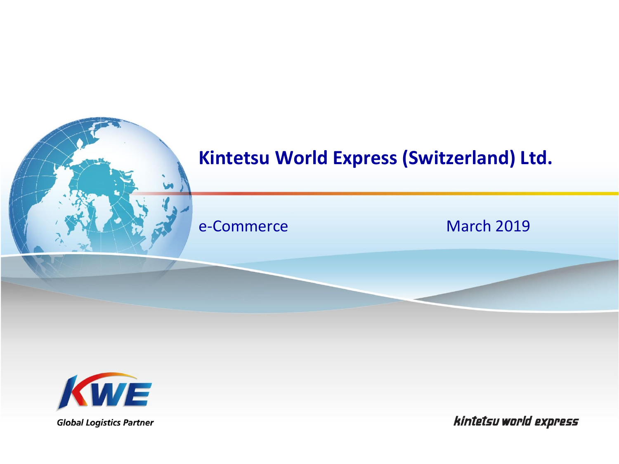e-Commerce March 2019



**Global Logistics Partner**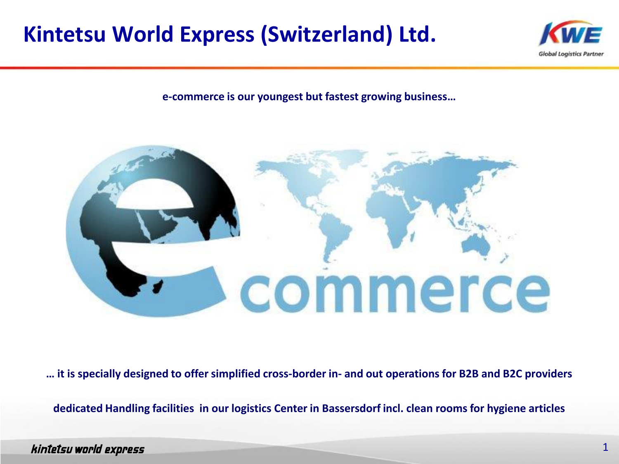

**e-commerce is our youngest but fastest growing business…**



**… it is specially designed to offer simplified cross-border in- and out operations for B2B and B2C providers**

**dedicated Handling facilities in our logistics Center in Bassersdorf incl. clean rooms for hygiene articles**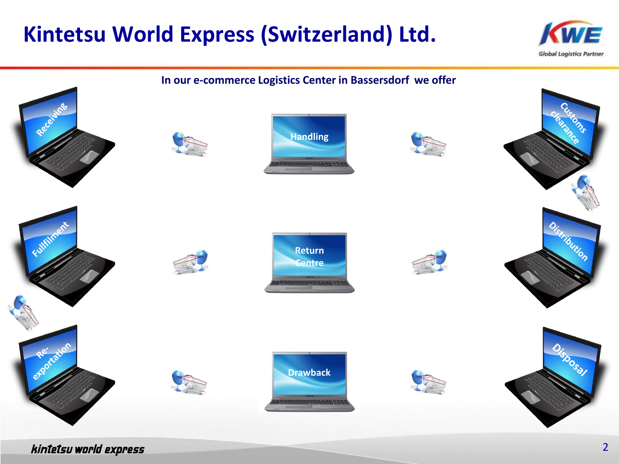

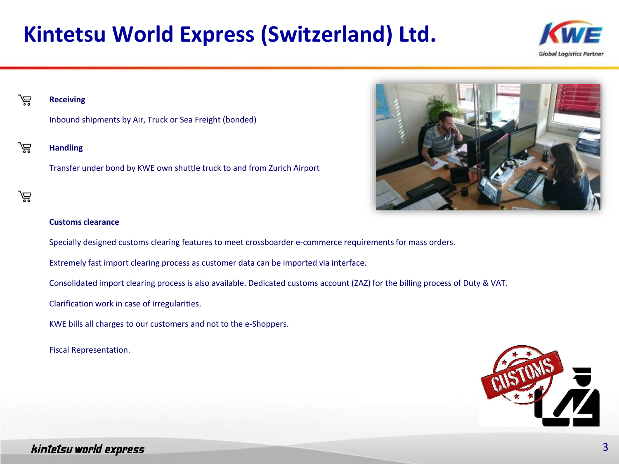

#### **Receiving**

Ĕ

芦

芦

Inbound shipments by Air, Truck or Sea Freight (bonded)

### **Handling**

Transfer under bond by KWE own shuttle truck to and from Zurich Airport



#### **Customs clearance**

Specially designed customs clearing features to meet crossboarder e-commerce requirements for mass orders.

Extremely fast import clearing process as customer data can be imported via interface.

Consolidated import clearing process is also available. Dedicated customs account (ZAZ) for the billing process of Duty & VAT.

Clarification work in case of irregularities.

KWE bills all charges to our customers and not to the e-Shoppers.

Fiscal Representation.

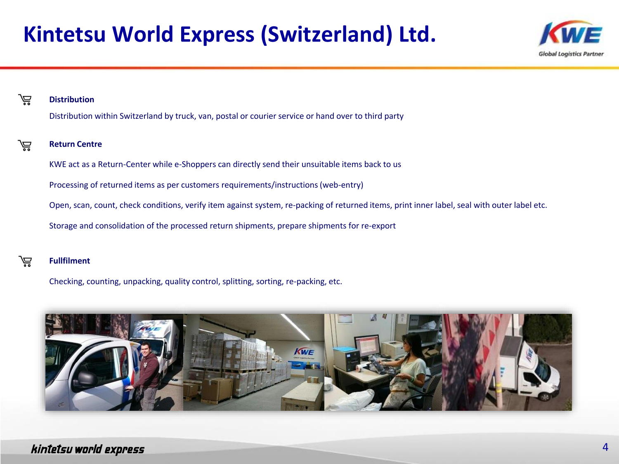

#### Ĕ **Distribution**

Distribution within Switzerland by truck, van, postal or courier service or hand over to third party

#### **Return Centre**

芦

八

KWE act as a Return-Center while e-Shoppers can directly send their unsuitable items back to us

Processing of returned items as per customers requirements/instructions(web-entry)

Open, scan, count, check conditions, verify item against system, re-packing of returned items, print inner label, seal with outer label etc.

Storage and consolidation of the processed return shipments, prepare shipments for re-export

#### **Fullfilment**

Checking, counting, unpacking, quality control, splitting, sorting, re-packing, etc.

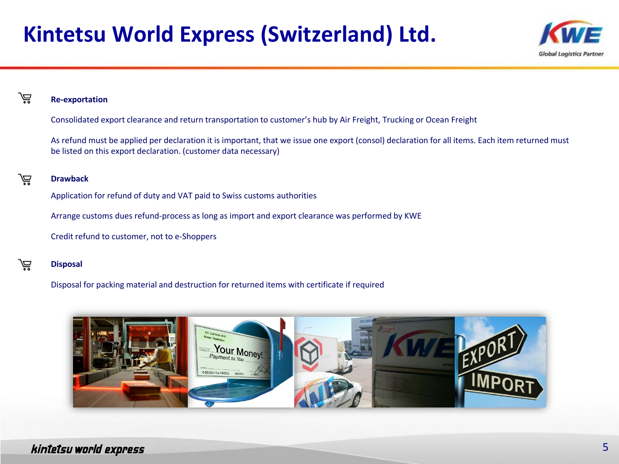

#### Ĕ **Re-exportation**

Consolidated export clearance and return transportation to customer's hub by Air Freight, Trucking or Ocean Freight

As refund must be applied per declaration it is important, that we issue one export (consol) declaration for all items. Each item returned must be listed on this export declaration. (customer data necessary)

#### **Drawback**

んいん しょうしゃく しょうしゃくん しょうしゃく しゅうしょう

芦

Application for refund of duty and VAT paid to Swiss customs authorities

Arrange customs dues refund-process as long as import and export clearance was performed by KWE

Credit refund to customer, not to e-Shoppers

### **Disposal**

Disposal for packing material and destruction for returned items with certificate if required